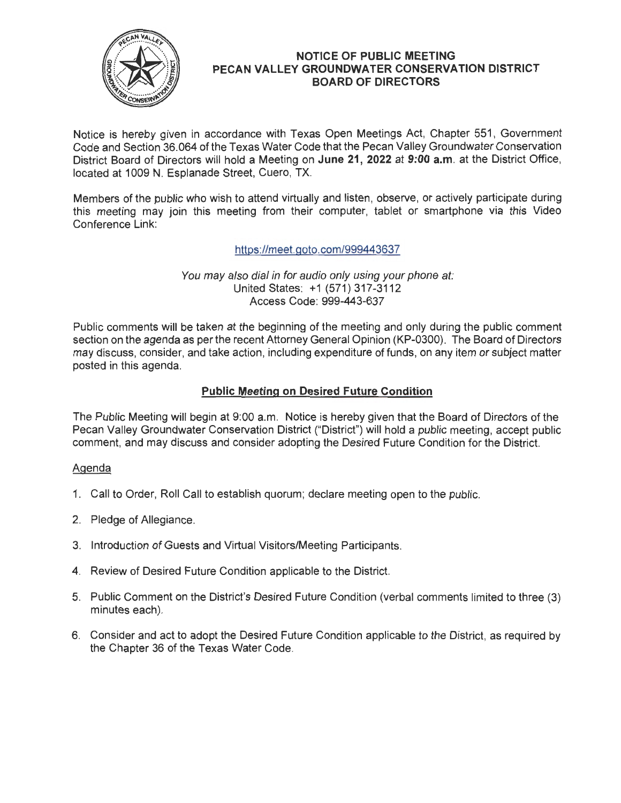

## **NOTICE OF PUBLIC MEETING** I **PECAN VALLEY GROUNDWATER CONSERVATION DISTRICT BOARD OF DIRECTORS**

Notice is hereby given in accordance with Texas Open Meetings Act, Chapter 551 , Government Code and Section 36.064 of the Texas Water Code that the Pecan Valley Groundwater Conservation District Board of Directors will hold a Meeting on **June 21, 2022 at 9:00 a.m.** at the District Office, located at 1009 N. Esplanade Street, Cuero, TX.

Members of the public who wish to attend virtually and listen, observe, or actively participate during this meeting may join this meeting from their computer, tablet or smartphone via this Video Conference Link:

https://meet.goto.com/999443637

You may also dial in for audio only using your phone at: United States: +1 (571) 317-3112 Access Code: 999-443-637

Public comments will be taken at the beginning of the meeting and only during the public comment section on the agenda as per the recent Attorney General Opinion (KP-0300). The Board of Directors may discuss, consider, and take action, including expenditure of funds, on any item or subject matter posted in this agenda.

# **Public Meeting on Desired Future Condition**

The Public Meeting will begin at 9:00 a.m. Notice is hereby given that the Board of Directors of the Pecan Valley Groundwater Conservation District ("District") will hold a public meeting, accept public comment, and may discuss and consider adopting the Desired Future Condition for the District.

## **Agenda**

- 1. Call to Order, Roll Call to establish quorum; declare meeting open to the public.
- 2. Pledge of Allegiance.
- 3. Introduction of Guests and Virtual Visitors/Meeting Participants.
- 4. Review of Desired Future Condition applicable to the District.
- 5. Public Comment on the District's Desired Future Condition (verbal comments limited to three (3) minutes each). <sup>1</sup>
- 6. Consider and act to adopt the Desired Future Condition applicable to the District, as required by the Chapter 36 of the Texas Water Code.